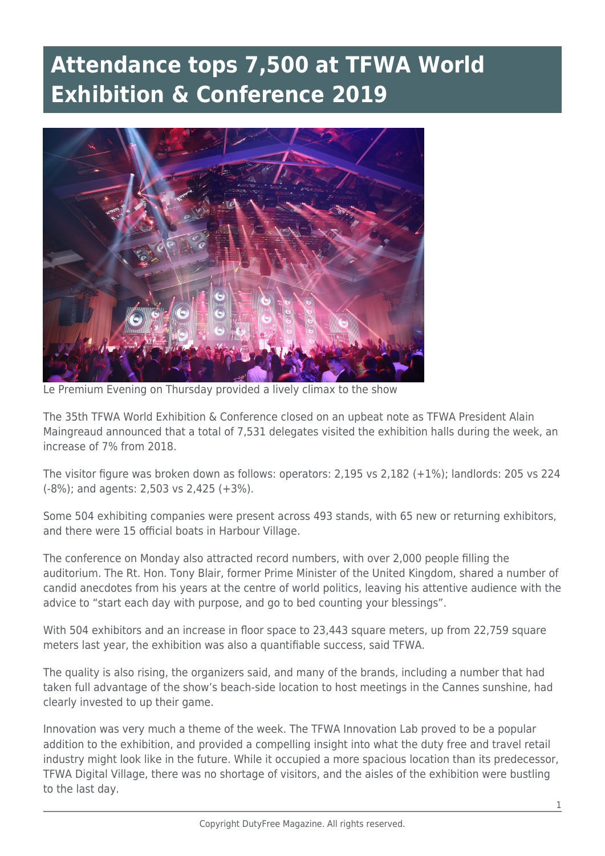## **Attendance tops 7,500 at TFWA World Exhibition & Conference 2019**



Le Premium Evening on Thursday provided a lively climax to the show

The 35th TFWA World Exhibition & Conference closed on an upbeat note as TFWA President Alain Maingreaud announced that a total of 7,531 delegates visited the exhibition halls during the week, an increase of 7% from 2018.

The visitor figure was broken down as follows: operators: 2,195 vs 2,182 (+1%); landlords: 205 vs 224 (-8%); and agents: 2,503 vs 2,425 (+3%).

Some 504 exhibiting companies were present across 493 stands, with 65 new or returning exhibitors, and there were 15 official boats in Harbour Village.

The conference on Monday also attracted record numbers, with over 2,000 people filling the auditorium. The Rt. Hon. Tony Blair, former Prime Minister of the United Kingdom, shared a number of candid anecdotes from his years at the centre of world politics, leaving his attentive audience with the advice to "start each day with purpose, and go to bed counting your blessings".

With 504 exhibitors and an increase in floor space to 23,443 square meters, up from 22,759 square meters last year, the exhibition was also a quantifiable success, said TFWA.

The quality is also rising, the organizers said, and many of the brands, including a number that had taken full advantage of the show's beach-side location to host meetings in the Cannes sunshine, had clearly invested to up their game.

Innovation was very much a theme of the week. The TFWA Innovation Lab proved to be a popular addition to the exhibition, and provided a compelling insight into what the duty free and travel retail industry might look like in the future. While it occupied a more spacious location than its predecessor, TFWA Digital Village, there was no shortage of visitors, and the aisles of the exhibition were bustling to the last day.